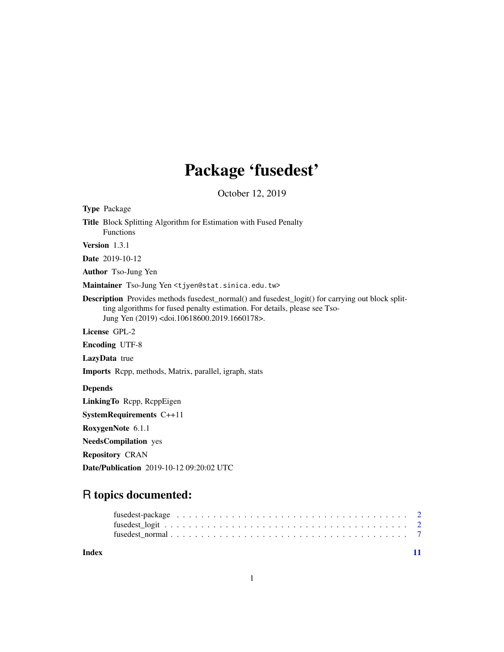## Package 'fusedest'

October 12, 2019

Type Package Title Block Splitting Algorithm for Estimation with Fused Penalty Functions Version 1.3.1 Date 2019-10-12 Author Tso-Jung Yen Maintainer Tso-Jung Yen <tjyen@stat.sinica.edu.tw> Description Provides methods fusedest\_normal() and fusedest\_logit() for carrying out block splitting algorithms for fused penalty estimation. For details, please see Tso-Jung Yen (2019) <doi.10618600.2019.1660178>. License GPL-2 Encoding UTF-8 LazyData true Imports Rcpp, methods, Matrix, parallel, igraph, stats Depends LinkingTo Rcpp, RcppEigen SystemRequirements C++11 RoxygenNote 6.1.1 NeedsCompilation yes Repository CRAN Date/Publication 2019-10-12 09:20:02 UTC

### R topics documented:

| fusedest-package $\ldots \ldots \ldots \ldots \ldots \ldots \ldots \ldots \ldots \ldots \ldots \ldots \ldots$ |  |  |  |  |  |  |  |  |  |  |  |  |  |  |  |  |  |  |  |
|---------------------------------------------------------------------------------------------------------------|--|--|--|--|--|--|--|--|--|--|--|--|--|--|--|--|--|--|--|
|                                                                                                               |  |  |  |  |  |  |  |  |  |  |  |  |  |  |  |  |  |  |  |
|                                                                                                               |  |  |  |  |  |  |  |  |  |  |  |  |  |  |  |  |  |  |  |
|                                                                                                               |  |  |  |  |  |  |  |  |  |  |  |  |  |  |  |  |  |  |  |

**Index** [11](#page-10-0)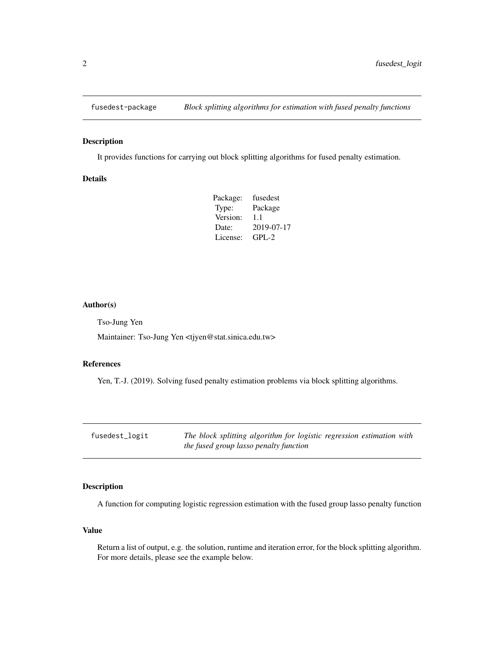<span id="page-1-0"></span>

#### Description

It provides functions for carrying out block splitting algorithms for fused penalty estimation.

#### Details

| Package: | fusedest   |
|----------|------------|
| Type:    | Package    |
| Version: | 1.1        |
| Date:    | 2019-07-17 |
| License: | $GPI - 2$  |

#### Author(s)

Tso-Jung Yen

Maintainer: Tso-Jung Yen <tjyen@stat.sinica.edu.tw>

#### References

Yen, T.-J. (2019). Solving fused penalty estimation problems via block splitting algorithms.

fusedest\_logit *The block splitting algorithm for logistic regression estimation with the fused group lasso penalty function*

#### Description

A function for computing logistic regression estimation with the fused group lasso penalty function

#### Value

Return a list of output, e.g. the solution, runtime and iteration error, for the block splitting algorithm. For more details, please see the example below.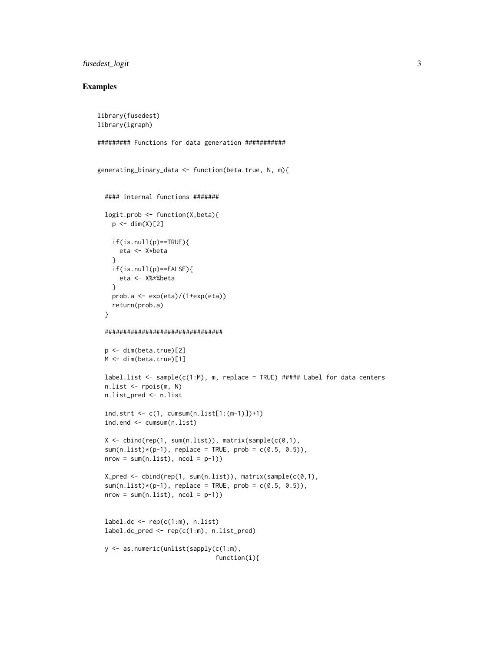#### fusedest\_logit 3

#### Examples

```
library(fusedest)
library(igraph)
######### Functions for data generation ###########
generating_binary_data <- function(beta.true, N, m){
  #### internal functions #######
  logit.prob <- function(X,beta){
    p \leftarrow \text{dim}(X)[2]if(is.null(p)==TRUE){
     eta <- X*beta
    }
    if(is.null(p)==FALSE){
      eta <- X%*%beta
    }
    prob.a <- exp(eta)/(1+exp(eta))
    return(prob.a)
  }
  ################################
  p <- dim(beta.true)[2]
  M <- dim(beta.true)[1]
  label.list <- sample(c(1:M), m, replace = TRUE) ##### Label for data centers
  n.list <- rpois(m, N)
  n.list_pred <- n.list
  ind.strt \leq c(1, \text{ cumsum}(n.list[1:(m-1)])+1)ind.end <- cumsum(n.list)
  X \leq cbind(rep(1, sum(n.list)), matrix(sample(c(0,1),
  sum(nu(0.11st)*(p-1)), replace = TRUE, prob = c(0.5, 0.5)),
  nrow = sum(n.list), ncol = p-1)X_pred <- cbind(rep(1, sum(n.list)), matrix(sample(c(0,1),
  sum(n.list)*(p-1), replace = TRUE, prob = c(0.5, 0.5)),
  nrow = sum(n.list), ncol = p-1)label.dc < -\text{rep}(c(1:m), n.list)label.dc_pred <- rep(c(1:m), n.list_pred)
  y <- as.numeric(unlist(sapply(c(1:m),
                                 function(i){
```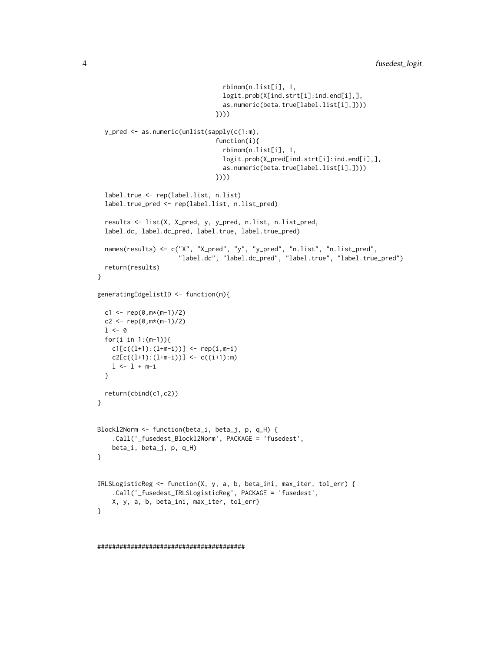```
rbinom(n.list[i], 1,
                                   logit.prob(X[ind.strt[i]:ind.end[i],],
                                   as.numeric(beta.true[label.list[i],])))
                                 })))
  y_pred <- as.numeric(unlist(sapply(c(1:m),
                                 function(i){
                                   rbinom(n.list[i], 1,
                                   logit.prob(X_pred[ind.strt[i]:ind.end[i],],
                                   as.numeric(beta.true[label.list[i],])))
                                 })))
  label.true <- rep(label.list, n.list)
  label.true_pred <- rep(label.list, n.list_pred)
  results <- list(X, X_pred, y, y_pred, n.list, n.list_pred,
  label.dc, label.dc_pred, label.true, label.true_pred)
  names(results) <- c("X", "X_pred", "y", "y_pred", "n.list", "n.list_pred",
                       "label.dc", "label.dc_pred", "label.true", "label.true_pred")
  return(results)
}
generatingEdgelistID <- function(m){
  c1 <- rep(0, m*(m-1)/2)c2 \leq -\text{rep}(0,\text{m} \times (\text{m}-1)/2)1 \leftarrow 0for(i in 1:(m-1)){
    cl[c((l+1):(l+m-i))] < - rep(i,m-i)c2[c((l+1):(l+m-i))] < c((i+1):m)l \leftarrow l + m-i}
  return(cbind(c1,c2))
}
Blockl2Norm <- function(beta_i, beta_j, p, q_H) {
    .Call('_fusedest_Blockl2Norm', PACKAGE = 'fusedest',
    beta_i, beta_j, p, q_H)
}
IRLSLogisticReg <- function(X, y, a, b, beta_ini, max_iter, tol_err) {
    .Call('_fusedest_IRLSLogisticReg', PACKAGE = 'fusedest',
    X, y, a, b, beta_ini, max_iter, tol_err)
}
```

```
########################################
```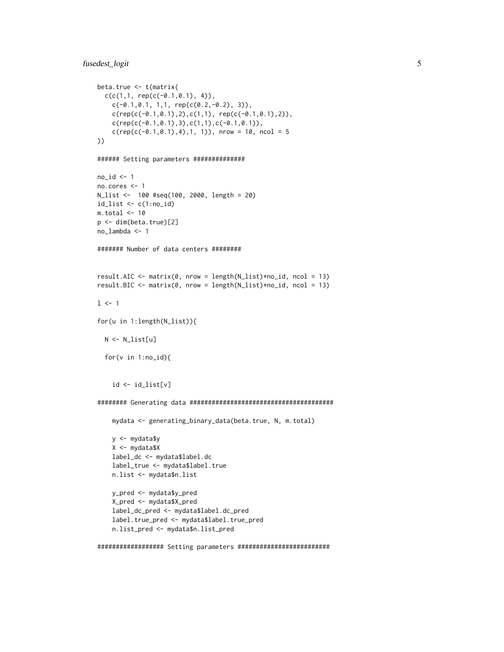#### fusedest\_logit 5

```
beta.true <- t(matrix(
 c(c(1,1, rep(c(-0.1, 0.1), 4)),c(-0.1, 0.1, 1, 1, rep(c(0.2, -0.2), 3)),
   c(rep(c(-0.1,0.1),2),c(1,1), rep(c(-0.1,0.1),2)),c(rep(c(-0.1,0.1),3),c(1,1),c(-0.1,0.1)),c(rep(c(-0.1,0.1),4),1, 1)), nrow = 10, ncol = 5
))
###### Setting parameters ##############
no_id \leq 1no.cores <- 1
N_list <- 100 #seq(100, 2000, length = 20)
id_list \leftarrow c(1:no_id)m.total < -10p <- dim(beta.true)[2]
no_lambda <- 1
####### Number of data centers ########
result.AIC \leq matrix(0, nrow = length(N_list)*no_id, ncol = 13)
result.BIC <- matrix(0, nrow = length(N_list)*no_id, ncol = 13)
1 < -1for(u in 1:length(N_list)){
 N <- N_list[u]
  for(v in 1:no_id){
    id <- id_list[v]
######## Generating data #######################################
    mydata <- generating_binary_data(beta.true, N, m.total)
    y <- mydata$y
    X <- mydata$X
    label_dc <- mydata$label.dc
    label_true <- mydata$label.true
   n.list <- mydata$n.list
   y_pred <- mydata$y_pred
    X_pred <- mydata$X_pred
    label_dc_pred <- mydata$label.dc_pred
    label.true_pred <- mydata$label.true_pred
    n.list_pred <- mydata$n.list_pred
```
################## Setting parameters #########################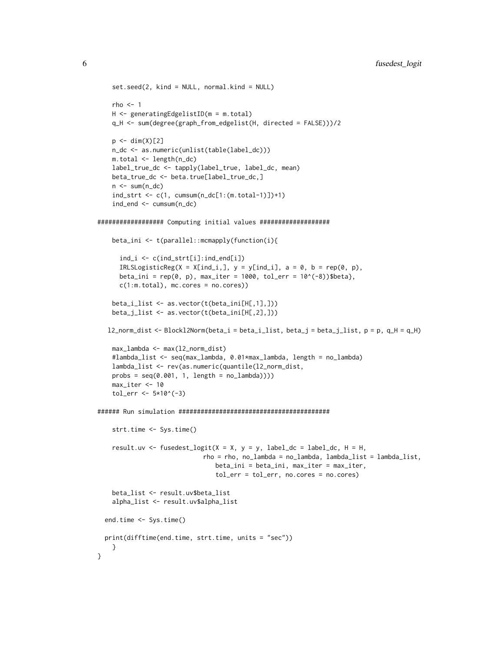```
set.seed(2, kind = NULL, normal.kind = NULL)
   rho \leq -1H <- generatingEdgelistID(m = m.total)
   q_H <- sum(degree(graph_from_edgelist(H, directed = FALSE)))/2
   p \leftarrow \text{dim}(X)[2]n_dc <- as.numeric(unlist(table(label_dc)))
   m.total <- length(n_dc)
   label_true_dc <- tapply(label_true, label_dc, mean)
   beta_true_dc <- beta.true[label_true_dc,]
   n \leq sum(n_d)ind\_strt \leftarrow c(1, cumsum(n_dc[1:(m.total-1)])+1)ind_end <- cumsum(n_dc)
################## Computing initial values ###################
   beta_ini <- t(parallel::mcmapply(function(i){
      ind_i <- c(ind_strt[i]:ind_end[i])
      IRLSLogisticReg(X = X[ind_i], y = y[ind_i], a = 0, b = rep(0, p),beta_ini = rep(0, p), max_iter = 1000, tol_err = 10^(-8))$beta},
      c(1:m.total), mc.cores = no.cores))
    beta_i_list <- as.vector(t(beta_ini[H[,1],]))
    beta_j_list <- as.vector(t(beta_ini[H[,2],]))
  l2_norm_dist <- Blockl2Norm(beta_i = beta_i_list, beta_j = beta_j_list, p = p, q_H = q_H)
   max_lambda <- max(l2_norm_dist)
   #lambda_list <- seq(max_lambda, 0.01*max_lambda, length = no_lambda)
   lambda_list <- rev(as.numeric(quantile(l2_norm_dist,
   probs = seq(0.001, 1, length = no_lambda))))max_iter <- 10
    tol_error < -5*10^(-3)###### Run simulation #########################################
    strt.time <- Sys.time()
    result.uv <- fusedest_logit(X = X, y = y, label_dc = label_dc, H = H,
                             rho = rho, no_lambda = no_lambda, lambda_list = lambda_list,
                                beta_ini = beta_ini, max_iter = max_iter,
                                tol_err = tol_err, no.cores = no.cores)
    beta_list <- result.uv$beta_list
   alpha_list <- result.uv$alpha_list
 end.time <- Sys.time()
 print(difftime(end.time, strt.time, units = "sec"))
   }
}
```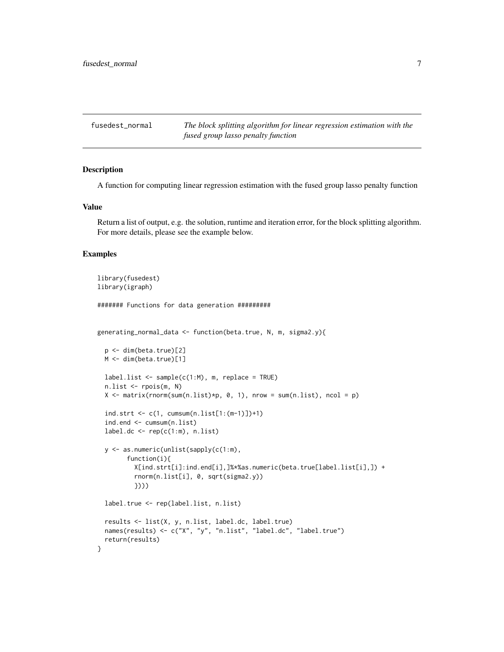<span id="page-6-0"></span>fusedest\_normal *The block splitting algorithm for linear regression estimation with the fused group lasso penalty function*

#### Description

A function for computing linear regression estimation with the fused group lasso penalty function

#### Value

Return a list of output, e.g. the solution, runtime and iteration error, for the block splitting algorithm. For more details, please see the example below.

#### Examples

```
library(fusedest)
library(igraph)
####### Functions for data generation #########
generating_normal_data <- function(beta.true, N, m, sigma2.y){
 p <- dim(beta.true)[2]
 M <- dim(beta.true)[1]
 label.list < - sample(c(1:M), m, replace = TRUE)
 n.list <- rpois(m, N)
 X \le matrix(rnorm(sum(n.list)*p, 0, 1), nrow = sum(n.list), ncol = p)
 ind.strt \leq c(1, \text{ cumsum}(n.list[1:(m-1)])+1)ind.end <- cumsum(n.list)
 label.dc < rep(c(1:m), n.list)y <- as.numeric(unlist(sapply(c(1:m),
        function(i){
          X[ind.strt[i]:ind.end[i],]%*%as.numeric(beta.true[label.list[i],]) +
          rnorm(n.list[i], 0, sqrt(sigma2.y))
          })))
 label.true <- rep(label.list, n.list)
 results <- list(X, y, n.list, label.dc, label.true)
 names(results) <- c("X", "y", "n.list", "label.dc", "label.true")
 return(results)
}
```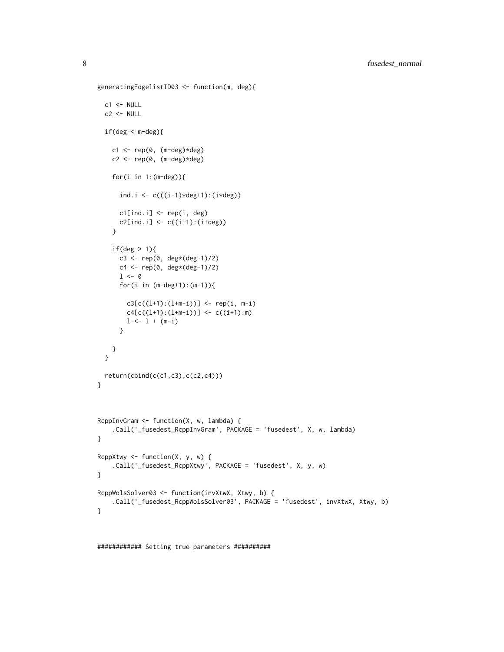```
generatingEdgelistID03 <- function(m, deg){
  c1 <- NULL
  c2 < - NULL
  if(deg < m-deg){
    c1 \leftarrow rep(0, (m-deg)*deg)c2 \leq -\operatorname{rep}(\emptyset, (\mathsf{m-deg}) \star \deg)for(i in 1:(m-deg)){
      ind.i <- c(((i-1)*deg+1):(i*deg))cl[ind.i] <- rep(i, deg)
      c2[ind.i] <- c((i+1):(i+deg))}
    if(deg > 1){c3 \leq rep(0, deg*(deg-1)/2)c4 <- rep(0, deg*(deg-1)/2)
      1 < - \varnothingfor(i in (m-deg+1):(m-1)){
        c3[c((l+1):(l+m-i))] < - rep(i, m-i)c4[c((l+1):(l+m-i))] < -c((i+1):m)1 \leftarrow 1 + (m-i)}
    }
  }
  return(cbind(c(c1,c3),c(c2,c4)))
}
RcppInvGram <- function(X, w, lambda) {
    .Call('_fusedest_RcppInvGram', PACKAGE = 'fusedest', X, w, lambda)
}
ReppXtwy \leftarrow function(X, y, w) {
    .Call('_fusedest_RcppXtwy', PACKAGE = 'fusedest', X, y, w)
}
RcppWolsSolver03 <- function(invXtwX, Xtwy, b) {
    .Call('_fusedest_RcppWolsSolver03', PACKAGE = 'fusedest', invXtwX, Xtwy, b)
}
```
############ Setting true parameters ##########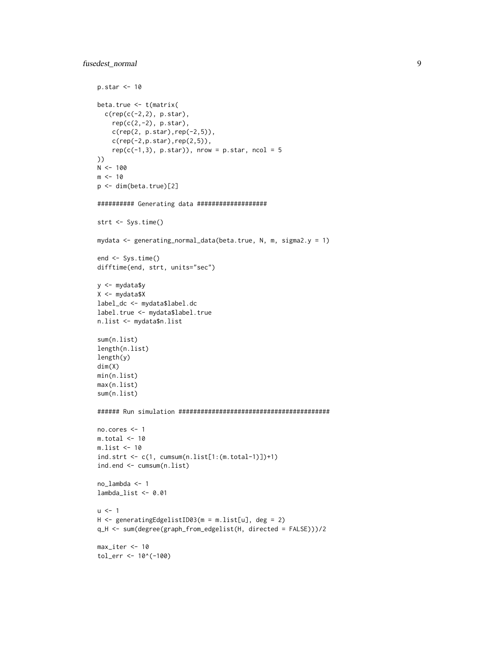```
p.star <- 10
beta.true <- t(matrix(
 c(rep(c(-2,2), p.star),rep(c(2,-2), p.star),c(rep(2, p.star),rep(-2,5)),
    c(rep(-2,p.start),rep(2,5)),rep(c(-1,3), p.start)), nrow = p.star, ncol = 5
))
N < - 100m < -10p <- dim(beta.true)[2]
########## Generating data ###################
strt <- Sys.time()
mydata <- generating_normal_data(beta.true, N, m, sigma2.y = 1)
end <- Sys.time()
difftime(end, strt, units="sec")
y <- mydata$y
X <- mydata$X
label_dc <- mydata$label.dc
label.true <- mydata$label.true
n.list <- mydata$n.list
sum(n.list)
length(n.list)
length(y)
dim(X)
min(n.list)
max(n.list)
sum(n.list)
###### Run simulation #########################################
no.cores <- 1
m.total <- 10
m.list <- 10
ind.strt <- c(1, cumsum(n.list[1:(m.total-1)])+1)
ind.end <- cumsum(n.list)
no_lambda <- 1
lambda_list <- 0.01
u < -1H <- generatingEdgelistID03(m = m.list[u], deg = 2)
q_H <- sum(degree(graph_from_edgelist(H, directed = FALSE)))/2
max_iter <- 10
tol_err <- 10^(-100)
```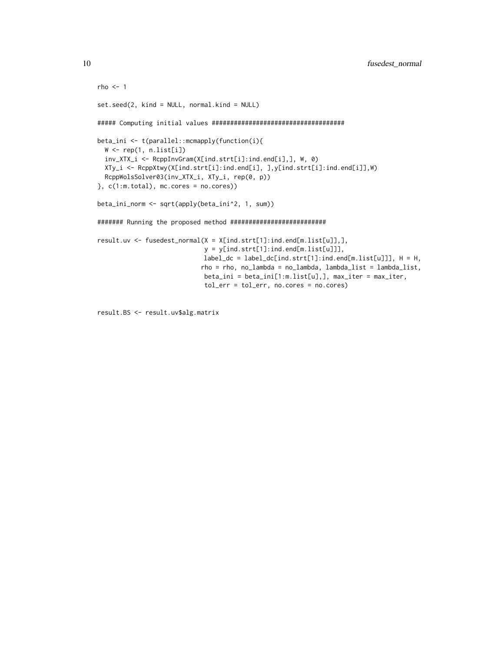```
rho < -1set.seed(2, kind = NULL, normal.kind = NULL)
##### Computing initial values ####################################
beta_ini <- t(parallel::mcmapply(function(i){
  W <- rep(1, n.list[i])
  inv_XTX_i <- RcppInvGram(X[ind.strt[i]:ind.end[i],], W, 0)
  XTy_i <- RcppXtwy(X[ind.strt[i]:ind.end[i], ],y[ind.strt[i]:ind.end[i]],W)
  RcppWolsSolver03(inv_XTX_i, XTy_i, rep(0, p))
}, c(1:m.total), mc.cores = no.cores)beta_ini_norm <- sqrt(apply(beta_ini^2, 1, sum))
####### Running the proposed method ##########################
result.uv <- fusedest_normal(X = X[ind.strt[1]:ind.end[m.list[u]],],
                            y = y[ind.strt[1]:ind.end[m.list[u]]],
                            label_c c = label_c[c[ind.strt[1]:ind.end[m.list[u]]], H = H,rho = rho, no_lambda = no_lambda, lambda_list = lambda_list,
                            beta_ini = beta_ini[1:m.list[u],], max_iter = max_iter,
                            tol_err = tol_err, no.cores = no.cores)
```
result.BS <- result.uv\$alg.matrix